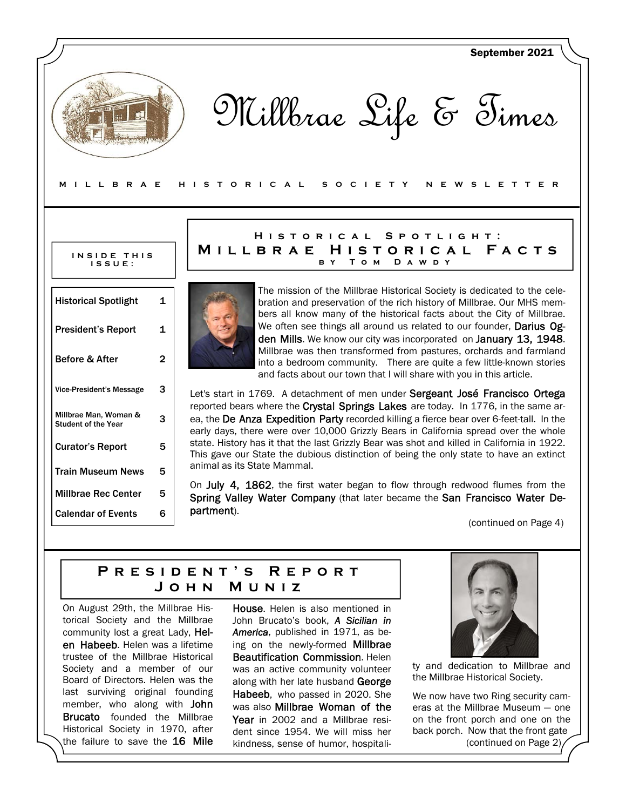| MILLBRAE                                            |                   | September 2021<br>Millbrae Life & Times<br>H I S T O R I C A L<br>S O C I E T Y<br>N E W S L E T T E R                                                                                                                                                                 |
|-----------------------------------------------------|-------------------|------------------------------------------------------------------------------------------------------------------------------------------------------------------------------------------------------------------------------------------------------------------------|
|                                                     |                   | HISTORICAL<br>SPOTLIGHT:                                                                                                                                                                                                                                               |
| INSIDE THIS<br>$IS$ $S$ $U$ $E$ :                   |                   | MILLBRAE HISTORICAL FACTS<br>Том<br>D A W D Y<br>B Y                                                                                                                                                                                                                   |
| <b>Historical Spotlight</b>                         | $\mathbf{1}$      | The mission of the Millbrae Historical Society is dedicated to the cele-<br>bration and preservation of the rich history of Millbrae. Our MHS mem-<br>bers all know many of the historical facts about the City of Millbrae.                                           |
| <b>President's Report</b><br>Before & After         | 1<br>$\mathbf{2}$ | We often see things all around us related to our founder, Darius Og-<br>den Mills. We know our city was incorporated on January 13, 1948.<br>Millbrae was then transformed from pastures, orchards and farmland                                                        |
|                                                     |                   | into a bedroom community. There are quite a few little-known stories<br>and facts about our town that I will share with you in this article.                                                                                                                           |
| <b>Vice-President's Message</b>                     | 3                 | Let's start in 1769. A detachment of men under Sergeant José Francisco Ortega                                                                                                                                                                                          |
| Millbrae Man, Woman &<br><b>Student of the Year</b> | 3                 | reported bears where the Crystal Springs Lakes are today. In 1776, in the same ar-<br>ea, the De Anza Expedition Party recorded killing a fierce bear over 6-feet-tall. In the<br>early days, there were over 10,000 Grizzly Bears in California spread over the whole |
| <b>Curator's Report</b>                             | 5                 | state. History has it that the last Grizzly Bear was shot and killed in California in 1922.<br>This gave our State the dubious distinction of being the only state to have an extinct                                                                                  |
|                                                     | 5                 | animal as its State Mammal.                                                                                                                                                                                                                                            |
| <b>Train Museum News</b>                            |                   |                                                                                                                                                                                                                                                                        |
| <b>Millbrae Rec Center</b>                          | 5                 | On July 4, 1862, the first water began to flow through redwood flumes from the<br>Spring Valley Water Company (that later became the San Francisco Water De-<br>partment).                                                                                             |

# **President's Report John Muniz**

On August 29th, the Millbrae Historical Society and the Millbrae community lost a great Lady, Helen Habeeb. Helen was a lifetime trustee of the Millbrae Historical Society and a member of our Board of Directors. Helen was the last surviving original founding member, who along with John Brucato founded the Millbrae Historical Society in 1970, after the failure to save the 16 Mile House. Helen is also mentioned in John Brucato's book, *A Sicilian in America*, published in 1971, as being on the newly-formed **Millbrae** Beautification Commission. Helen was an active community volunteer along with her late husband George Habeeb, who passed in 2020. She was also Millbrae Woman of the Year in 2002 and a Millbrae resident since 1954. We will miss her kindness, sense of humor, hospitali-



ty and dedication to Millbrae and the Millbrae Historical Society.

We now have two Ring security cameras at the Millbrae Museum — one on the front porch and one on the back porch. Now that the front gate (continued on Page 2)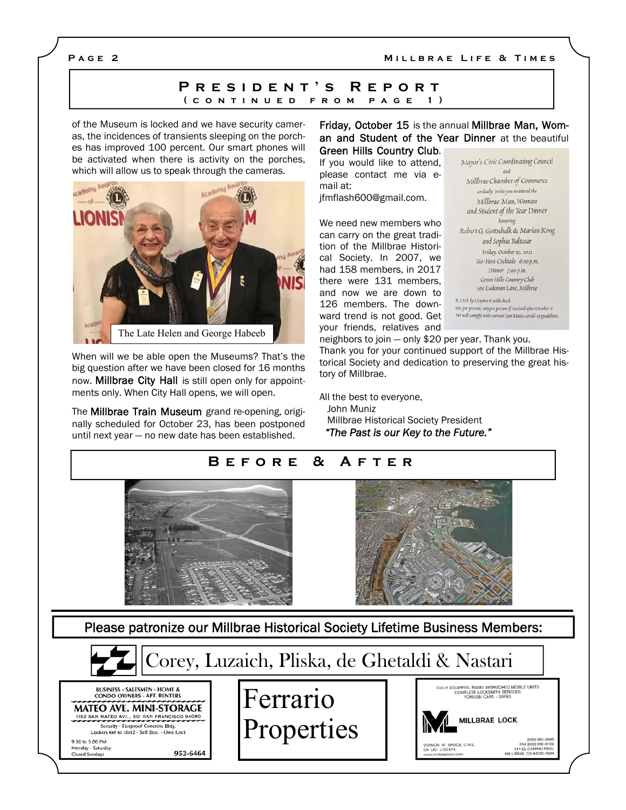## **Page 2**

### **Millbrae Life & Times**

## **President's Report (continued from page 1)**

of the Museum is locked and we have security cameras, the incidences of transients sleeping on the porches has improved 100 percent. Our smart phones will be activated when there is activity on the porches, which will allow us to speak through the cameras.



When will we be able open the Museums? That's the big question after we have been closed for 16 months now. **Millbrae City Hall** is still open only for appointments only. When City Hall opens, we will open.

The Millbrae Train Museum grand re-opening, originally scheduled for October 23, has been postponed until next year — no new date has been established.

Friday, October 15 is the annual Millbrae Man, Woman and Student of the Year Dinner at the beautiful Green Hills Country Club.

If you would like to attend, please contact me via email at: jfmflash600@gmail.com.

We need new members who can carry on the great tradition of the Millbrae Historical Society. In 2007, we had 158 members, in 2017 there were 131 members, and now we are down to 126 members. The downward trend is not good. Get your friends, relatives and

Mayor's Civic Coordinating Council Millbrae Chamber of Commerce cordially invite you to attend the Millbrae Man, Woman and Student of the Year Dinner honoring Robert G. Gottschalk & Marian Kong and Sophia Baltasar Friday, October 15, 2021 No-Host Cocktails 6:00 p.m. Dinner 7:00 p.m. Green Hills Country Club 500 Ludeman Lane, Millbrae

R.S.V.P. by October 8 with check sóo per person; sós per person if received after October 8 We will comply with current San Mateo covid-19 guidelines

neighbors to join — only \$20 per year. Thank you. Thank you for your continued support of the Millbrae Historical Society and dedication to preserving the great history of Millbrae.

All the best to everyone, John Muniz Millbrae Historical Society President  *"The Past is our Key to the Future."* 

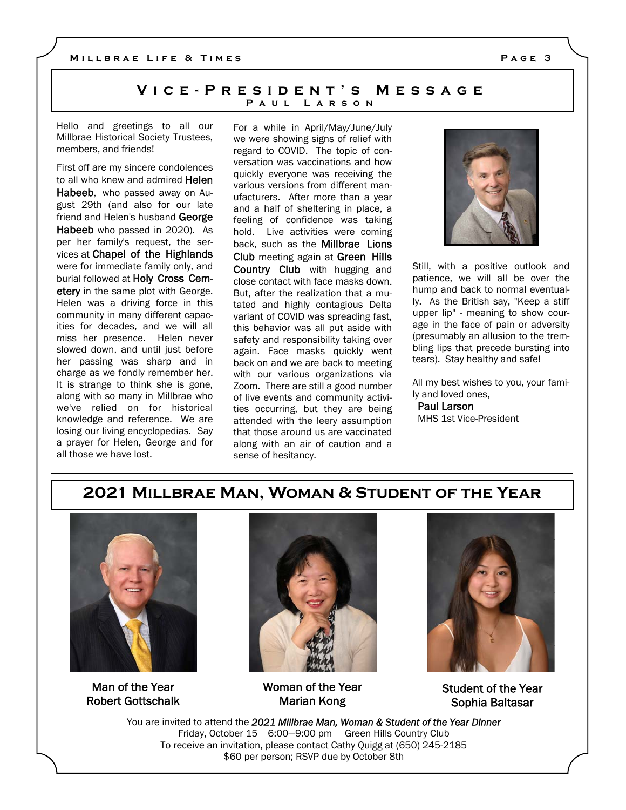## **Vice-President's Message Paul Larson**

Hello and greetings to all our Millbrae Historical Society Trustees, members, and friends!

First off are my sincere condolences to all who knew and admired Helen Habeeb, who passed away on August 29th (and also for our late friend and Helen's husband George Habeeb who passed in 2020). As per her family's request, the services at Chapel of the Highlands were for immediate family only, and burial followed at Holy Cross Cemetery in the same plot with George. Helen was a driving force in this community in many different capacities for decades, and we will all miss her presence. Helen never slowed down, and until just before her passing was sharp and in charge as we fondly remember her. It is strange to think she is gone, along with so many in Millbrae who we've relied on for historical knowledge and reference. We are losing our living encyclopedias. Say a prayer for Helen, George and for all those we have lost.

For a while in April/May/June/July we were showing signs of relief with regard to COVID. The topic of conversation was vaccinations and how quickly everyone was receiving the various versions from different manufacturers. After more than a year and a half of sheltering in place, a feeling of confidence was taking hold. Live activities were coming back, such as the Millbrae Lions Club meeting again at Green Hills Country Club with hugging and close contact with face masks down. But, after the realization that a mutated and highly contagious Delta variant of COVID was spreading fast, this behavior was all put aside with safety and responsibility taking over again. Face masks quickly went back on and we are back to meeting with our various organizations via Zoom. There are still a good number of live events and community activities occurring, but they are being attended with the leery assumption that those around us are vaccinated along with an air of caution and a sense of hesitancy.

Still, with a positive outlook and patience, we will all be over the hump and back to normal eventually. As the British say, "Keep a stiff upper lip" - meaning to show courage in the face of pain or adversity (presumably an allusion to the trembling lips that precede bursting into tears). Stay healthy and safe!

All my best wishes to you, your family and loved ones,

 Paul Larson MHS 1st Vice-President

# **2021 Millbrae Man, Woman & Student of the Year**



Man of the Year Robert Gottschalk



Woman of the Year Marian Kong



Student of the Year Sophia Baltasar

You are invited to attend the *2021 Millbrae Man, Woman & Student of the Year Dinner* Friday, October 15 6:00—9:00 pm Green Hills Country Club To receive an invitation, please contact Cathy Quigg at (650) 245-2185 \$60 per person; RSVP due by October 8th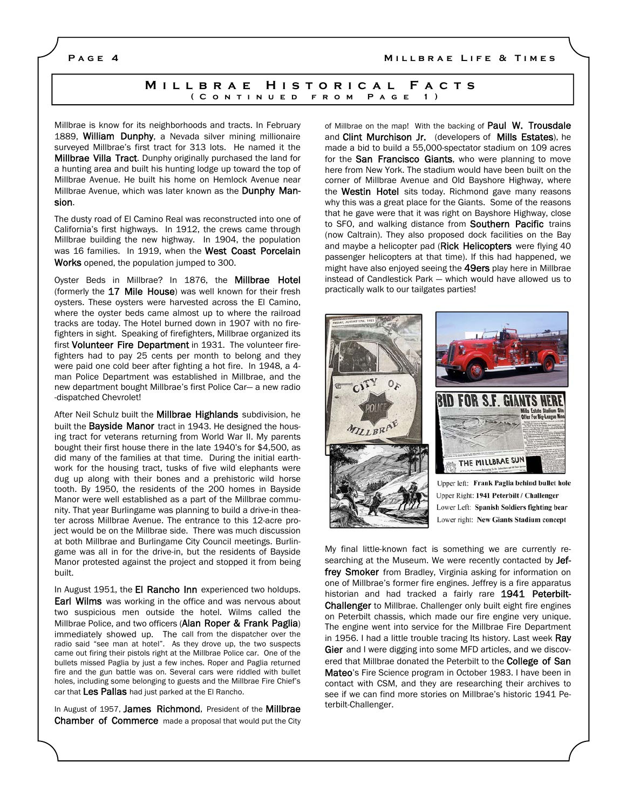### **Page 4 Millbrae Life & Times**

## **Millbrae Historical Facts (Continued from Page 1)**

Millbrae is know for its neighborhoods and tracts. In February 1889, William Dunphy, a Nevada silver mining millionaire surveyed Millbrae's first tract for 313 lots. He named it the Millbrae Villa Tract. Dunphy originally purchased the land for a hunting area and built his hunting lodge up toward the top of Millbrae Avenue. He built his home on Hemlock Avenue near Millbrae Avenue, which was later known as the Dunphy Mansion.

The dusty road of El Camino Real was reconstructed into one of California's first highways. In 1912, the crews came through Millbrae building the new highway. In 1904, the population was 16 families. In 1919, when the West Coast Porcelain Works opened, the population jumped to 300.

Oyster Beds in Millbrae? In 1876, the Millbrae Hotel (formerly the 17 Mile House) was well known for their fresh oysters. These oysters were harvested across the El Camino, where the oyster beds came almost up to where the railroad tracks are today. The Hotel burned down in 1907 with no firefighters in sight. Speaking of firefighters, Millbrae organized its first Volunteer Fire Department in 1931. The volunteer firefighters had to pay 25 cents per month to belong and they were paid one cold beer after fighting a hot fire. In 1948, a 4 man Police Department was established in Millbrae, and the new department bought Millbrae's first Police Car— a new radio -dispatched Chevrolet!

After Neil Schulz built the Millbrae Highlands subdivision, he built the **Bayside Manor** tract in 1943. He designed the housing tract for veterans returning from World War II. My parents bought their first house there in the late 1940's for \$4,500, as did many of the families at that time. During the initial earthwork for the housing tract, tusks of five wild elephants were dug up along with their bones and a prehistoric wild horse tooth. By 1950, the residents of the 200 homes in Bayside Manor were well established as a part of the Millbrae community. That year Burlingame was planning to build a drive-in theater across Millbrae Avenue. The entrance to this 12-acre project would be on the Millbrae side. There was much discussion at both Millbrae and Burlingame City Council meetings. Burlingame was all in for the drive-in, but the residents of Bayside Manor protested against the project and stopped it from being built.

In August 1951, the El Rancho Inn experienced two holdups. **Earl Wilms** was working in the office and was nervous about two suspicious men outside the hotel. Wilms called the Millbrae Police, and two officers (Alan Roper & Frank Paglia) immediately showed up. The call from the dispatcher over the radio said "see man at hotel". As they drove up, the two suspects came out firing their pistols right at the Millbrae Police car. One of the bullets missed Paglia by just a few inches. Roper and Paglia returned fire and the gun battle was on. Several cars were riddled with bullet holes, including some belonging to guests and the Millbrae Fire Chief's car that Les Pallas had just parked at the El Rancho.

In August of 1957, James Richmond, President of the Millbrae Chamber of Commerce made a proposal that would put the City of Millbrae on the map! With the backing of **Paul W. Trousdale** and Clint Murchison Jr. (developers of Mills Estates), he made a bid to build a 55,000-spectator stadium on 109 acres for the **San Francisco Giants**, who were planning to move here from New York. The stadium would have been built on the corner of Millbrae Avenue and Old Bayshore Highway, where the Westin Hotel sits today. Richmond gave many reasons why this was a great place for the Giants. Some of the reasons that he gave were that it was right on Bayshore Highway, close to SFO, and walking distance from **Southern Pacific** trains (now Caltrain). They also proposed dock facilities on the Bay and maybe a helicopter pad (Rick Helicopters were flying 40 passenger helicopters at that time). If this had happened, we might have also enjoyed seeing the **49ers** play here in Millbrae instead of Candlestick Park — which would have allowed us to practically walk to our tailgates parties!



My final little-known fact is something we are currently researching at the Museum. We were recently contacted by Jeffrey Smoker from Bradley, Virginia asking for information on one of Millbrae's former fire engines. Jeffrey is a fire apparatus historian and had tracked a fairly rare 1941 Peterbilt-Challenger to Millbrae. Challenger only built eight fire engines on Peterbilt chassis, which made our fire engine very unique. The engine went into service for the Millbrae Fire Department in 1956. I had a little trouble tracing Its history. Last week Ray Gier and I were digging into some MFD articles, and we discovered that Millbrae donated the Peterbilt to the **College of San** Mateo's Fire Science program in October 1983. I have been in contact with CSM, and they are researching their archives to see if we can find more stories on Millbrae's historic 1941 Peterbilt-Challenger.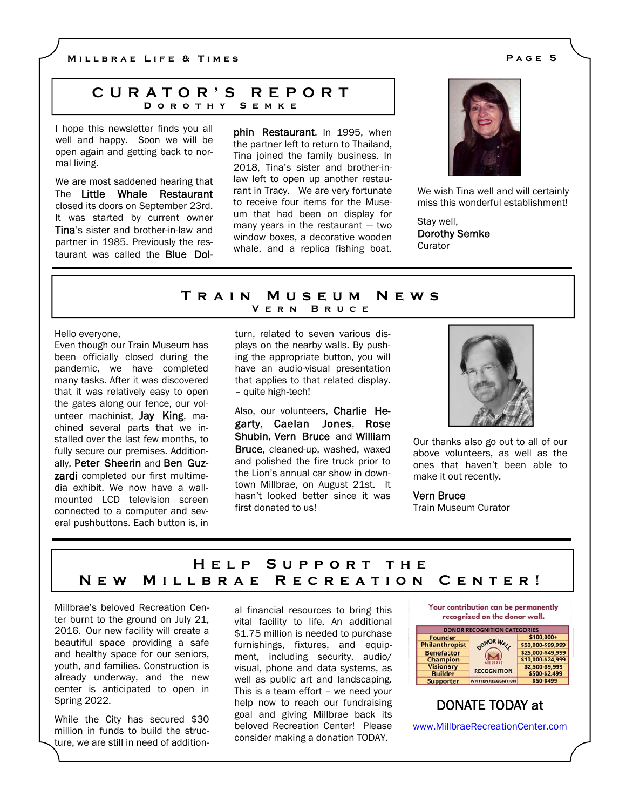**Millbrae Life & Times Page 5** 

## **CURATOR'S REPORT Dorothy Semke**

I hope this newsletter finds you all well and happy. Soon we will be open again and getting back to normal living.

We are most saddened hearing that The Little Whale Restaurant closed its doors on September 23rd. It was started by current owner Tina's sister and brother-in-law and partner in 1985. Previously the restaurant was called the Blue Dolphin Restaurant. In 1995, when the partner left to return to Thailand, Tina joined the family business. In 2018, Tina's sister and brother-inlaw left to open up another restaurant in Tracy. We are very fortunate to receive four items for the Museum that had been on display for many years in the restaurant — two window boxes, a decorative wooden whale, and a replica fishing boat.



We wish Tina well and will certainly miss this wonderful establishment!

Stay well, Dorothy Semke **Curator** 

## **Train Museum News BRUCE**

Hello everyone,

Even though our Train Museum has been officially closed during the pandemic, we have completed many tasks. After it was discovered that it was relatively easy to open the gates along our fence, our volunteer machinist, Jay King, machined several parts that we installed over the last few months, to fully secure our premises. Additionally, Peter Sheerin and Ben Guz**zardi** completed our first multimedia exhibit. We now have a wallmounted LCD television screen connected to a computer and several pushbuttons. Each button is, in

turn, related to seven various displays on the nearby walls. By pushing the appropriate button, you will have an audio-visual presentation that applies to that related display. – quite high-tech!

Also, our volunteers, Charlie Hegarty, Caelan Jones, Rose Shubin, Vern Bruce and William Bruce, cleaned-up, washed, waxed and polished the fire truck prior to the Lion's annual car show in downtown Millbrae, on August 21st. It hasn't looked better since it was first donated to us!



Our thanks also go out to all of our above volunteers, as well as the ones that haven't been able to make it out recently.

Vern Bruce Train Museum Curator

# **Help Support the New Millbrae Recreation Center!**

Millbrae's beloved Recreation Center burnt to the ground on July 21, 2016. Our new facility will create a beautiful space providing a safe and healthy space for our seniors, youth, and families. Construction is already underway, and the new center is anticipated to open in Spring 2022.

While the City has secured \$30 million in funds to build the structure, we are still in need of additional financial resources to bring this vital facility to life. An additional \$1.75 million is needed to purchase furnishings, fixtures, and equipment, including security, audio/ visual, phone and data systems, as well as public art and landscaping. This is a team effort – we need your help now to reach our fundraising goal and giving Millbrae back its beloved Recreation Center! Please consider making a donation TODAY.



# DONATE TODAY at

www.MillbraeRecreationCenter.com